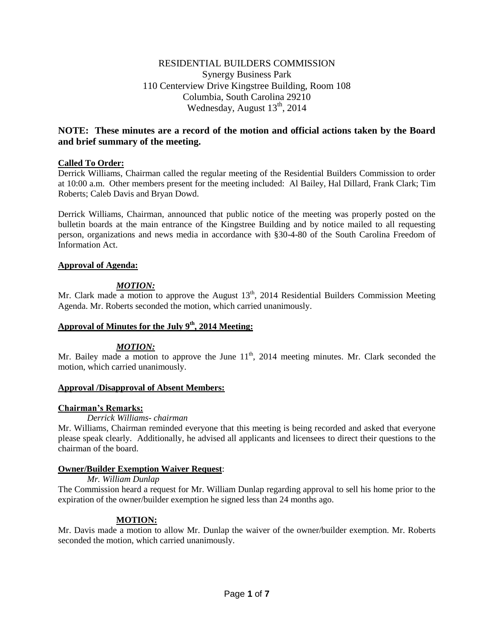## RESIDENTIAL BUILDERS COMMISSION Synergy Business Park 110 Centerview Drive Kingstree Building, Room 108 Columbia, South Carolina 29210 Wednesday, August  $13<sup>th</sup>$ , 2014

## **NOTE: These minutes are a record of the motion and official actions taken by the Board and brief summary of the meeting.**

### **Called To Order:**

Derrick Williams, Chairman called the regular meeting of the Residential Builders Commission to order at 10:00 a.m. Other members present for the meeting included: Al Bailey, Hal Dillard, Frank Clark; Tim Roberts; Caleb Davis and Bryan Dowd.

Derrick Williams, Chairman, announced that public notice of the meeting was properly posted on the bulletin boards at the main entrance of the Kingstree Building and by notice mailed to all requesting person, organizations and news media in accordance with §30-4-80 of the South Carolina Freedom of Information Act.

### **Approval of Agenda:**

## *MOTION:*

Mr. Clark made a motion to approve the August  $13<sup>th</sup>$ , 2014 Residential Builders Commission Meeting Agenda. Mr. Roberts seconded the motion, which carried unanimously.

## **Approval of Minutes for the July 9th , 2014 Meeting:**

### *MOTION:*

Mr. Bailey made a motion to approve the June  $11<sup>th</sup>$ , 2014 meeting minutes. Mr. Clark seconded the motion, which carried unanimously.

### **Approval /Disapproval of Absent Members:**

## **Chairman's Remarks:**

### *Derrick Williams- chairman*

Mr. Williams, Chairman reminded everyone that this meeting is being recorded and asked that everyone please speak clearly. Additionally, he advised all applicants and licensees to direct their questions to the chairman of the board.

### **Owner/Builder Exemption Waiver Request**:

### *Mr. William Dunlap*

The Commission heard a request for Mr. William Dunlap regarding approval to sell his home prior to the expiration of the owner/builder exemption he signed less than 24 months ago.

## **MOTION:**

Mr. Davis made a motion to allow Mr. Dunlap the waiver of the owner/builder exemption. Mr. Roberts seconded the motion, which carried unanimously.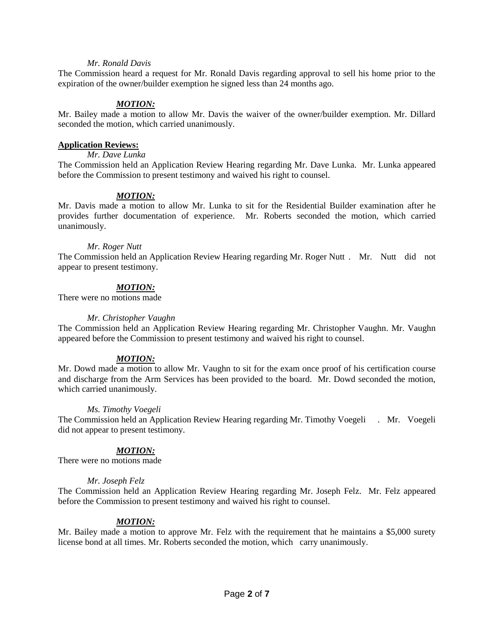#### *Mr. Ronald Davis*

The Commission heard a request for Mr. Ronald Davis regarding approval to sell his home prior to the expiration of the owner/builder exemption he signed less than 24 months ago.

### *MOTION:*

Mr. Bailey made a motion to allow Mr. Davis the waiver of the owner/builder exemption. Mr. Dillard seconded the motion, which carried unanimously.

#### **Application Reviews:**

*Mr. Dave Lunka* 

The Commission held an Application Review Hearing regarding Mr. Dave Lunka. Mr. Lunka appeared before the Commission to present testimony and waived his right to counsel.

#### *MOTION:*

Mr. Davis made a motion to allow Mr. Lunka to sit for the Residential Builder examination after he provides further documentation of experience. Mr. Roberts seconded the motion, which carried unanimously.

#### *Mr. Roger Nutt*

The Commission held an Application Review Hearing regarding Mr. Roger Nutt . Mr. Nutt did not appear to present testimony.

### *MOTION:*

There were no motions made

#### *Mr. Christopher Vaughn*

The Commission held an Application Review Hearing regarding Mr. Christopher Vaughn. Mr. Vaughn appeared before the Commission to present testimony and waived his right to counsel.

### *MOTION:*

Mr. Dowd made a motion to allow Mr. Vaughn to sit for the exam once proof of his certification course and discharge from the Arm Services has been provided to the board. Mr. Dowd seconded the motion, which carried unanimously.

### *Ms. Timothy Voegeli*

The Commission held an Application Review Hearing regarding Mr. Timothy Voegeli . Mr. Voegeli did not appear to present testimony.

### *MOTION:*

There were no motions made

### *Mr. Joseph Felz*

The Commission held an Application Review Hearing regarding Mr. Joseph Felz. Mr. Felz appeared before the Commission to present testimony and waived his right to counsel.

### *MOTION:*

Mr. Bailey made a motion to approve Mr. Felz with the requirement that he maintains a \$5,000 surety license bond at all times. Mr. Roberts seconded the motion, which carry unanimously.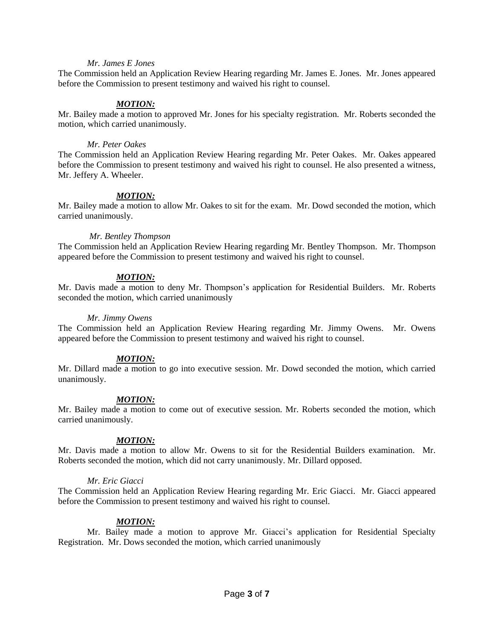#### *Mr. James E Jones*

The Commission held an Application Review Hearing regarding Mr. James E. Jones. Mr. Jones appeared before the Commission to present testimony and waived his right to counsel.

### *MOTION:*

Mr. Bailey made a motion to approved Mr. Jones for his specialty registration. Mr. Roberts seconded the motion, which carried unanimously.

#### *Mr. Peter Oakes*

The Commission held an Application Review Hearing regarding Mr. Peter Oakes. Mr. Oakes appeared before the Commission to present testimony and waived his right to counsel. He also presented a witness, Mr. Jeffery A. Wheeler.

### *MOTION:*

Mr. Bailey made a motion to allow Mr. Oakes to sit for the exam. Mr. Dowd seconded the motion, which carried unanimously.

#### *Mr. Bentley Thompson*

The Commission held an Application Review Hearing regarding Mr. Bentley Thompson. Mr. Thompson appeared before the Commission to present testimony and waived his right to counsel.

### *MOTION:*

Mr. Davis made a motion to deny Mr. Thompson's application for Residential Builders. Mr. Roberts seconded the motion, which carried unanimously

#### *Mr. Jimmy Owens*

The Commission held an Application Review Hearing regarding Mr. Jimmy Owens. Mr. Owens appeared before the Commission to present testimony and waived his right to counsel.

### *MOTION:*

Mr. Dillard made a motion to go into executive session. Mr. Dowd seconded the motion, which carried unanimously.

### *MOTION:*

Mr. Bailey made a motion to come out of executive session. Mr. Roberts seconded the motion, which carried unanimously.

### *MOTION:*

Mr. Davis made a motion to allow Mr. Owens to sit for the Residential Builders examination. Mr. Roberts seconded the motion, which did not carry unanimously. Mr. Dillard opposed.

### *Mr. Eric Giacci*

The Commission held an Application Review Hearing regarding Mr. Eric Giacci. Mr. Giacci appeared before the Commission to present testimony and waived his right to counsel.

### *MOTION:*

Mr. Bailey made a motion to approve Mr. Giacci's application for Residential Specialty Registration. Mr. Dows seconded the motion, which carried unanimously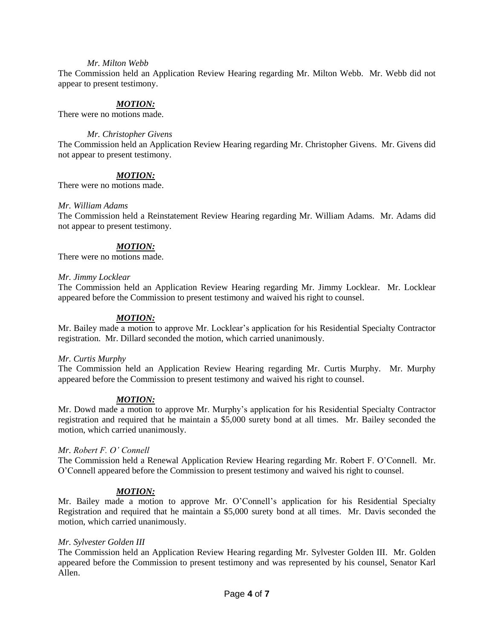#### *Mr. Milton Webb*

The Commission held an Application Review Hearing regarding Mr. Milton Webb. Mr. Webb did not appear to present testimony.

### *MOTION:*

There were no motions made.

#### *Mr. Christopher Givens*

The Commission held an Application Review Hearing regarding Mr. Christopher Givens. Mr. Givens did not appear to present testimony.

### *MOTION:*

There were no motions made.

#### *Mr. William Adams*

The Commission held a Reinstatement Review Hearing regarding Mr. William Adams. Mr. Adams did not appear to present testimony.

#### *MOTION:*

There were no motions made.

#### *Mr. Jimmy Locklear*

The Commission held an Application Review Hearing regarding Mr. Jimmy Locklear. Mr. Locklear appeared before the Commission to present testimony and waived his right to counsel.

#### *MOTION:*

Mr. Bailey made a motion to approve Mr. Locklear's application for his Residential Specialty Contractor registration. Mr. Dillard seconded the motion, which carried unanimously.

#### *Mr. Curtis Murphy*

The Commission held an Application Review Hearing regarding Mr. Curtis Murphy. Mr. Murphy appeared before the Commission to present testimony and waived his right to counsel.

### *MOTION:*

Mr. Dowd made a motion to approve Mr. Murphy's application for his Residential Specialty Contractor registration and required that he maintain a \$5,000 surety bond at all times. Mr. Bailey seconded the motion, which carried unanimously.

#### *Mr. Robert F. O' Connell*

The Commission held a Renewal Application Review Hearing regarding Mr. Robert F. O'Connell. Mr. O'Connell appeared before the Commission to present testimony and waived his right to counsel.

### *MOTION:*

Mr. Bailey made a motion to approve Mr. O'Connell's application for his Residential Specialty Registration and required that he maintain a \$5,000 surety bond at all times. Mr. Davis seconded the motion, which carried unanimously.

#### *Mr. Sylvester Golden III*

The Commission held an Application Review Hearing regarding Mr. Sylvester Golden III. Mr. Golden appeared before the Commission to present testimony and was represented by his counsel, Senator Karl Allen.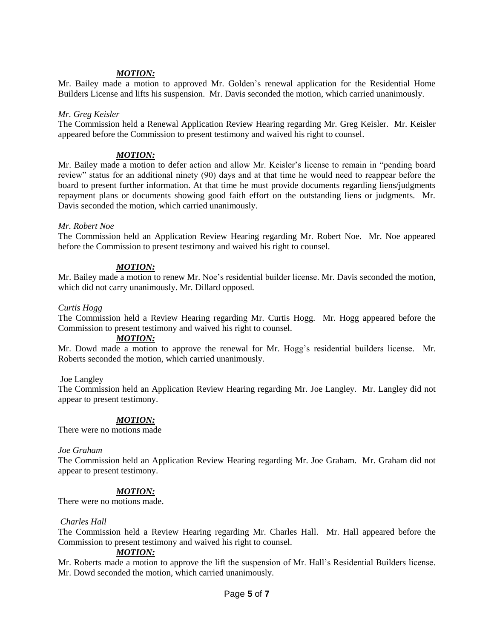### *MOTION:*

Mr. Bailey made a motion to approved Mr. Golden's renewal application for the Residential Home Builders License and lifts his suspension. Mr. Davis seconded the motion, which carried unanimously.

#### *Mr. Greg Keisler*

The Commission held a Renewal Application Review Hearing regarding Mr. Greg Keisler. Mr. Keisler appeared before the Commission to present testimony and waived his right to counsel.

### *MOTION:*

Mr. Bailey made a motion to defer action and allow Mr. Keisler's license to remain in "pending board review" status for an additional ninety (90) days and at that time he would need to reappear before the board to present further information. At that time he must provide documents regarding liens/judgments repayment plans or documents showing good faith effort on the outstanding liens or judgments. Mr. Davis seconded the motion, which carried unanimously.

### *Mr. Robert Noe*

The Commission held an Application Review Hearing regarding Mr. Robert Noe. Mr. Noe appeared before the Commission to present testimony and waived his right to counsel.

### *MOTION:*

Mr. Bailey made a motion to renew Mr. Noe's residential builder license. Mr. Davis seconded the motion, which did not carry unanimously. Mr. Dillard opposed.

#### *Curtis Hogg*

The Commission held a Review Hearing regarding Mr. Curtis Hogg. Mr. Hogg appeared before the Commission to present testimony and waived his right to counsel.

#### *MOTION:*

Mr. Dowd made a motion to approve the renewal for Mr. Hogg's residential builders license. Mr. Roberts seconded the motion, which carried unanimously.

### Joe Langley

The Commission held an Application Review Hearing regarding Mr. Joe Langley. Mr. Langley did not appear to present testimony.

### *MOTION:*

There were no motions made

#### *Joe Graham*

The Commission held an Application Review Hearing regarding Mr. Joe Graham. Mr. Graham did not appear to present testimony.

### *MOTION:*

There were no motions made.

#### *Charles Hall*

The Commission held a Review Hearing regarding Mr. Charles Hall. Mr. Hall appeared before the Commission to present testimony and waived his right to counsel.

### *MOTION:*

Mr. Roberts made a motion to approve the lift the suspension of Mr. Hall's Residential Builders license. Mr. Dowd seconded the motion, which carried unanimously.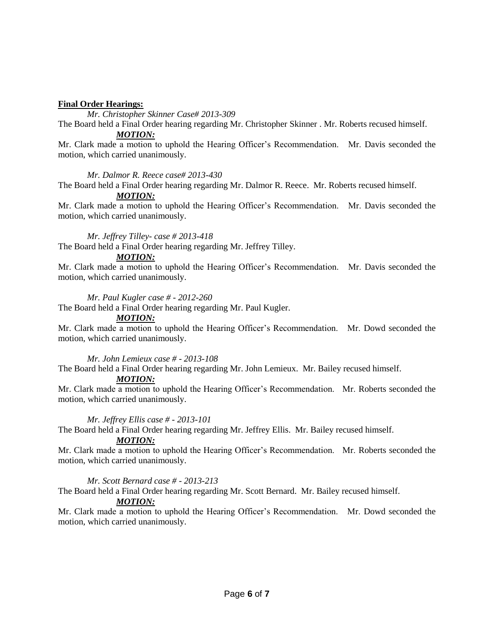### **Final Order Hearings:**

*Mr. Christopher Skinner Case# 2013-309*

The Board held a Final Order hearing regarding Mr. Christopher Skinner . Mr. Roberts recused himself. *MOTION:*

Mr. Clark made a motion to uphold the Hearing Officer's Recommendation. Mr. Davis seconded the motion, which carried unanimously.

### *Mr. Dalmor R. Reece case# 2013-430*

The Board held a Final Order hearing regarding Mr. Dalmor R. Reece. Mr. Roberts recused himself. *MOTION:*

Mr. Clark made a motion to uphold the Hearing Officer's Recommendation. Mr. Davis seconded the motion, which carried unanimously.

### *Mr. Jeffrey Tilley- case # 2013-418*

The Board held a Final Order hearing regarding Mr. Jeffrey Tilley.

### *MOTION:*

Mr. Clark made a motion to uphold the Hearing Officer's Recommendation. Mr. Davis seconded the motion, which carried unanimously.

#### *Mr. Paul Kugler case # - 2012-260*

The Board held a Final Order hearing regarding Mr. Paul Kugler.

#### *MOTION:*

Mr. Clark made a motion to uphold the Hearing Officer's Recommendation. Mr. Dowd seconded the motion, which carried unanimously.

### *Mr. John Lemieux case # - 2013-108*

The Board held a Final Order hearing regarding Mr. John Lemieux. Mr. Bailey recused himself.

### *MOTION:*

Mr. Clark made a motion to uphold the Hearing Officer's Recommendation. Mr. Roberts seconded the motion, which carried unanimously.

### *Mr. Jeffrey Ellis case # - 2013-101*

The Board held a Final Order hearing regarding Mr. Jeffrey Ellis. Mr. Bailey recused himself.

### *MOTION:*

Mr. Clark made a motion to uphold the Hearing Officer's Recommendation. Mr. Roberts seconded the motion, which carried unanimously.

### *Mr. Scott Bernard case # - 2013-213*

The Board held a Final Order hearing regarding Mr. Scott Bernard. Mr. Bailey recused himself.

### *MOTION:*

Mr. Clark made a motion to uphold the Hearing Officer's Recommendation. Mr. Dowd seconded the motion, which carried unanimously.